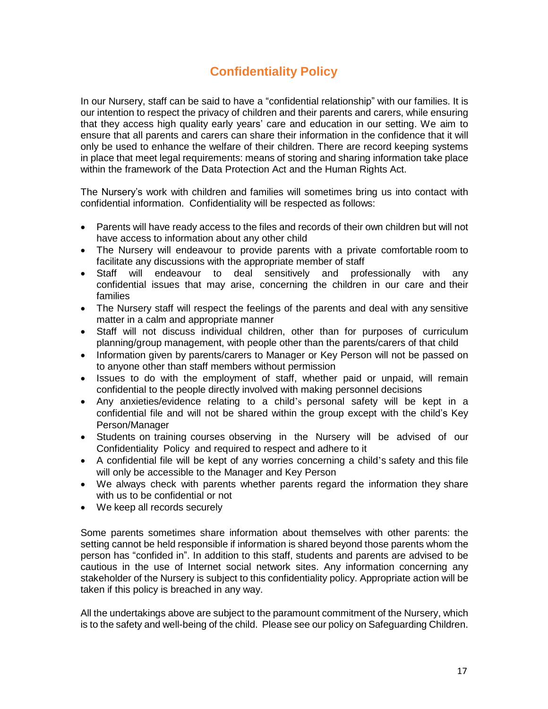## **Confidentiality Policy**

In our Nursery, staff can be said to have a "confidential relationship" with our families. It is our intention to respect the privacy of children and their parents and carers, while ensuring that they access high quality early years' care and education in our setting. We aim to ensure that all parents and carers can share their information in the confidence that it will only be used to enhance the welfare of their children. There are record keeping systems in place that meet legal requirements: means of storing and sharing information take place within the framework of the Data Protection Act and the Human Rights Act.

The Nursery's work with children and families will sometimes bring us into contact with confidential information. Confidentiality will be respected as follows:

- Parents will have ready access to the files and records of their own children but will not have access to information about any other child
- The Nursery will endeavour to provide parents with a private comfortable room to facilitate any discussions with the appropriate member of staff
- Staff will endeavour to deal sensitively and professionally with any confidential issues that may arise, concerning the children in our care and their families
- The Nursery staff will respect the feelings of the parents and deal with any sensitive matter in a calm and appropriate manner
- Staff will not discuss individual children, other than for purposes of curriculum planning/group management, with people other than the parents/carers of that child
- Information given by parents/carers to Manager or Key Person will not be passed on to anyone other than staff members without permission
- Issues to do with the employment of staff, whether paid or unpaid, will remain confidential to the people directly involved with making personnel decisions
- Any anxieties/evidence relating to a child's personal safety will be kept in a confidential file and will not be shared within the group except with the child's Key Person/Manager
- Students on training courses observing in the Nursery will be advised of our Confidentiality Policy and required to respect and adhere to it
- A confidential file will be kept of any worries concerning a child's safety and this file will only be accessible to the Manager and Key Person
- We always check with parents whether parents regard the information they share with us to be confidential or not
- We keep all records securely

Some parents sometimes share information about themselves with other parents: the setting cannot be held responsible if information is shared beyond those parents whom the person has "confided in". In addition to this staff, students and parents are advised to be cautious in the use of Internet social network sites. Any information concerning any stakeholder of the Nursery is subject to this confidentiality policy. Appropriate action will be taken if this policy is breached in any way.

All the undertakings above are subject to the paramount commitment of the Nursery, which is to the safety and well-being of the child. Please see our policy on Safeguarding Children.